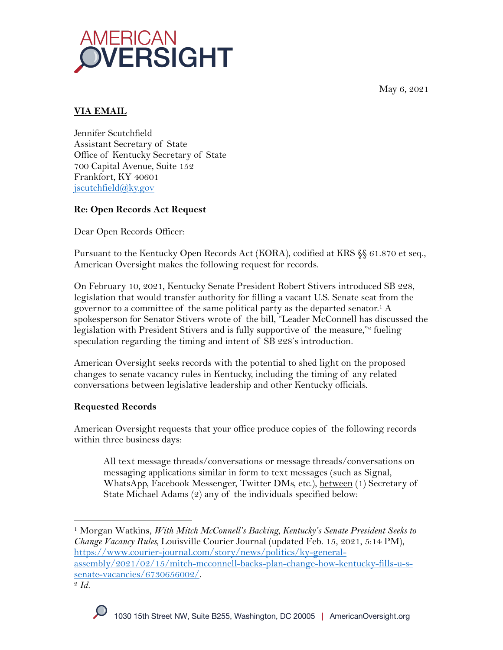May 6, 2021



# **VIA EMAIL**

Jennifer Scutchfield Assistant Secretary of State Office of Kentucky Secretary of State 700 Capital Avenue, Suite 152 Frankfort, KY 40601 jscutchfield@ky.gov

# **Re: Open Records Act Request**

Dear Open Records Officer:

Pursuant to the Kentucky Open Records Act (KORA), codified at KRS §§ 61.870 et seq., American Oversight makes the following request for records.

On February 10, 2021, Kentucky Senate President Robert Stivers introduced SB 228, legislation that would transfer authority for filling a vacant U.S. Senate seat from the governor to a committee of the same political party as the departed senator.1 A spokesperson for Senator Stivers wrote of the bill, "Leader McConnell has discussed the legislation with President Stivers and is fully supportive of the measure,"<sup>2</sup> fueling speculation regarding the timing and intent of SB 228's introduction.

American Oversight seeks records with the potential to shed light on the proposed changes to senate vacancy rules in Kentucky, including the timing of any related conversations between legislative leadership and other Kentucky officials.

### **Requested Records**

American Oversight requests that your office produce copies of the following records within three business days:

All text message threads/conversations or message threads/conversations on messaging applications similar in form to text messages (such as Signal, WhatsApp, Facebook Messenger, Twitter DMs, etc.), between (1) Secretary of State Michael Adams (2) any of the individuals specified below:

<sup>1</sup> Morgan Watkins, *With Mitch McConnell's Backing, Kentucky's Senate President Seeks to Change Vacancy Rules,* Louisville Courier Journal (updated Feb. 15, 2021, 5:14 PM), https://www.courier-journal.com/story/news/politics/ky-generalassembly/2021/02/15/mitch-mcconnell-backs-plan-change-how-kentucky-fills-u-ssenate-vacancies/6730656002/. 2 *Id.*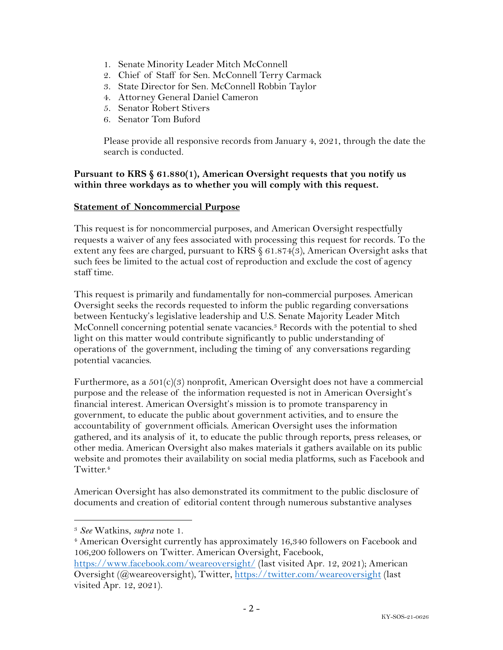- 1. Senate Minority Leader Mitch McConnell
- 2. Chief of Staff for Sen. McConnell Terry Carmack
- 3. State Director for Sen. McConnell Robbin Taylor
- 4. Attorney General Daniel Cameron
- 5. Senator Robert Stivers
- 6. Senator Tom Buford

Please provide all responsive records from January 4, 2021, through the date the search is conducted.

### **Pursuant to KRS § 61.880(1), American Oversight requests that you notify us within three workdays as to whether you will comply with this request.**

#### **Statement of Noncommercial Purpose**

This request is for noncommercial purposes, and American Oversight respectfully requests a waiver of any fees associated with processing this request for records. To the extent any fees are charged, pursuant to KRS § 61.874(3), American Oversight asks that such fees be limited to the actual cost of reproduction and exclude the cost of agency staff time.

This request is primarily and fundamentally for non-commercial purposes. American Oversight seeks the records requested to inform the public regarding conversations between Kentucky's legislative leadership and U.S. Senate Majority Leader Mitch McConnell concerning potential senate vacancies.3 Records with the potential to shed light on this matter would contribute significantly to public understanding of operations of the government, including the timing of any conversations regarding potential vacancies.

Furthermore, as a 501(c)(3) nonprofit, American Oversight does not have a commercial purpose and the release of the information requested is not in American Oversight's financial interest. American Oversight's mission is to promote transparency in government, to educate the public about government activities, and to ensure the accountability of government officials. American Oversight uses the information gathered, and its analysis of it, to educate the public through reports, press releases, or other media. American Oversight also makes materials it gathers available on its public website and promotes their availability on social media platforms, such as Facebook and Twitter.<sup>4</sup>

American Oversight has also demonstrated its commitment to the public disclosure of documents and creation of editorial content through numerous substantive analyses

- <sup>4</sup> American Oversight currently has approximately 16,340 followers on Facebook and 106,200 followers on Twitter. American Oversight, Facebook,
- https://www.facebook.com/weareoversight/ (last visited Apr. 12, 2021); American Oversight (@weareoversight), Twitter, https://twitter.com/weareoversight (last visited Apr. 12, 2021).

<sup>3</sup> *See* Watkins, *supra* note 1.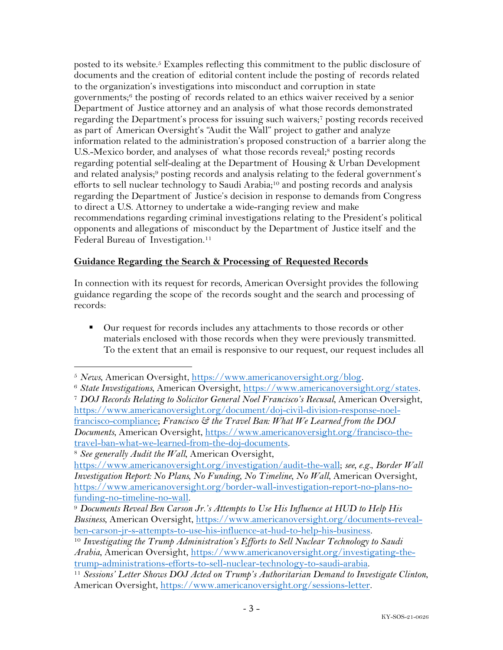posted to its website.5 Examples reflecting this commitment to the public disclosure of documents and the creation of editorial content include the posting of records related to the organization's investigations into misconduct and corruption in state governments; <sup>6</sup> the posting of records related to an ethics waiver received by a senior Department of Justice attorney and an analysis of what those records demonstrated regarding the Department's process for issuing such waivers;7 posting records received as part of American Oversight's "Audit the Wall" project to gather and analyze information related to the administration's proposed construction of a barrier along the U.S.-Mexico border, and analyses of what those records reveal;<sup>8</sup> posting records regarding potential self-dealing at the Department of Housing & Urban Development and related analysis;<sup>9</sup> posting records and analysis relating to the federal government's efforts to sell nuclear technology to Saudi Arabia;<sup>10</sup> and posting records and analysis regarding the Department of Justice's decision in response to demands from Congress to direct a U.S. Attorney to undertake a wide-ranging review and make recommendations regarding criminal investigations relating to the President's political opponents and allegations of misconduct by the Department of Justice itself and the Federal Bureau of Investigation.<sup>11</sup>

# **Guidance Regarding the Search & Processing of Requested Records**

In connection with its request for records, American Oversight provides the following guidance regarding the scope of the records sought and the search and processing of records:

■ Our request for records includes any attachments to those records or other materials enclosed with those records when they were previously transmitted. To the extent that an email is responsive to our request, our request includes all

<sup>5</sup> *News*, American Oversight, https://www.americanoversight.org/blog. 6 *State Investigations*, American Oversight, https://www.americanoversight.org/states. <sup>7</sup> *DOJ Records Relating to Solicitor General Noel Francisco's Recusal*, American Oversight, https://www.americanoversight.org/document/doj-civil-division-response-noelfrancisco-compliance; *Francisco & the Travel Ban: What We Learned from the DOJ Documents*, American Oversight, https://www.americanoversight.org/francisco-thetravel-ban-what-we-learned-from-the-doj-documents.

<sup>8</sup> *See generally Audit the Wall*, American Oversight,

https://www.americanoversight.org/investigation/audit-the-wall; *see, e.g.*, *Border Wall Investigation Report: No Plans, No Funding, No Timeline, No Wall*, American Oversight, https://www.americanoversight.org/border-wall-investigation-report-no-plans-no-

funding-no-timeline-no-wall. 9 *Documents Reveal Ben Carson Jr.'s Attempts to Use His Influence at HUD to Help His Business*, American Oversight, https://www.americanoversight.org/documents-revealben-carson-jr-s-attempts-to-use-his-influence-at-hud-to-help-his-business. 10 *Investigating the Trump Administration's Efforts to Sell Nuclear Technology to Saudi* 

*Arabia*, American Oversight, https://www.americanoversight.org/investigating-thetrump-administrations-efforts-to-sell-nuclear-technology-to-saudi-arabia. 11 *Sessions' Letter Shows DOJ Acted on Trump's Authoritarian Demand to Investigate Clinton*,

American Oversight, https://www.americanoversight.org/sessions-letter.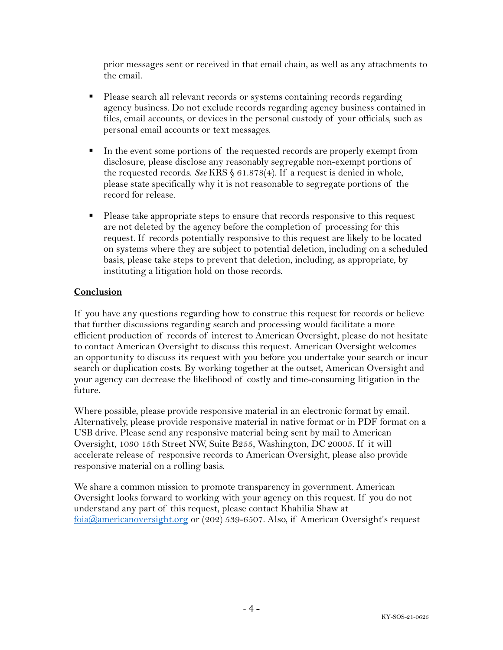prior messages sent or received in that email chain, as well as any attachments to the email.

- Please search all relevant records or systems containing records regarding agency business. Do not exclude records regarding agency business contained in files, email accounts, or devices in the personal custody of your officials, such as personal email accounts or text messages.
- In the event some portions of the requested records are properly exempt from disclosure, please disclose any reasonably segregable non-exempt portions of the requested records. *See* KRS § 61.878(4). If a request is denied in whole, please state specifically why it is not reasonable to segregate portions of the record for release.
- Please take appropriate steps to ensure that records responsive to this request are not deleted by the agency before the completion of processing for this request. If records potentially responsive to this request are likely to be located on systems where they are subject to potential deletion, including on a scheduled basis, please take steps to prevent that deletion, including, as appropriate, by instituting a litigation hold on those records.

### **Conclusion**

If you have any questions regarding how to construe this request for records or believe that further discussions regarding search and processing would facilitate a more efficient production of records of interest to American Oversight, please do not hesitate to contact American Oversight to discuss this request. American Oversight welcomes an opportunity to discuss its request with you before you undertake your search or incur search or duplication costs. By working together at the outset, American Oversight and your agency can decrease the likelihood of costly and time-consuming litigation in the future.

Where possible, please provide responsive material in an electronic format by email. Alternatively, please provide responsive material in native format or in PDF format on a USB drive. Please send any responsive material being sent by mail to American Oversight, 1030 15th Street NW, Suite B255, Washington, DC 20005. If it will accelerate release of responsive records to American Oversight, please also provide responsive material on a rolling basis.

We share a common mission to promote transparency in government. American Oversight looks forward to working with your agency on this request. If you do not understand any part of this request, please contact Khahilia Shaw at foia@americanoversight.org or (202) 539-6507. Also, if American Oversight's request